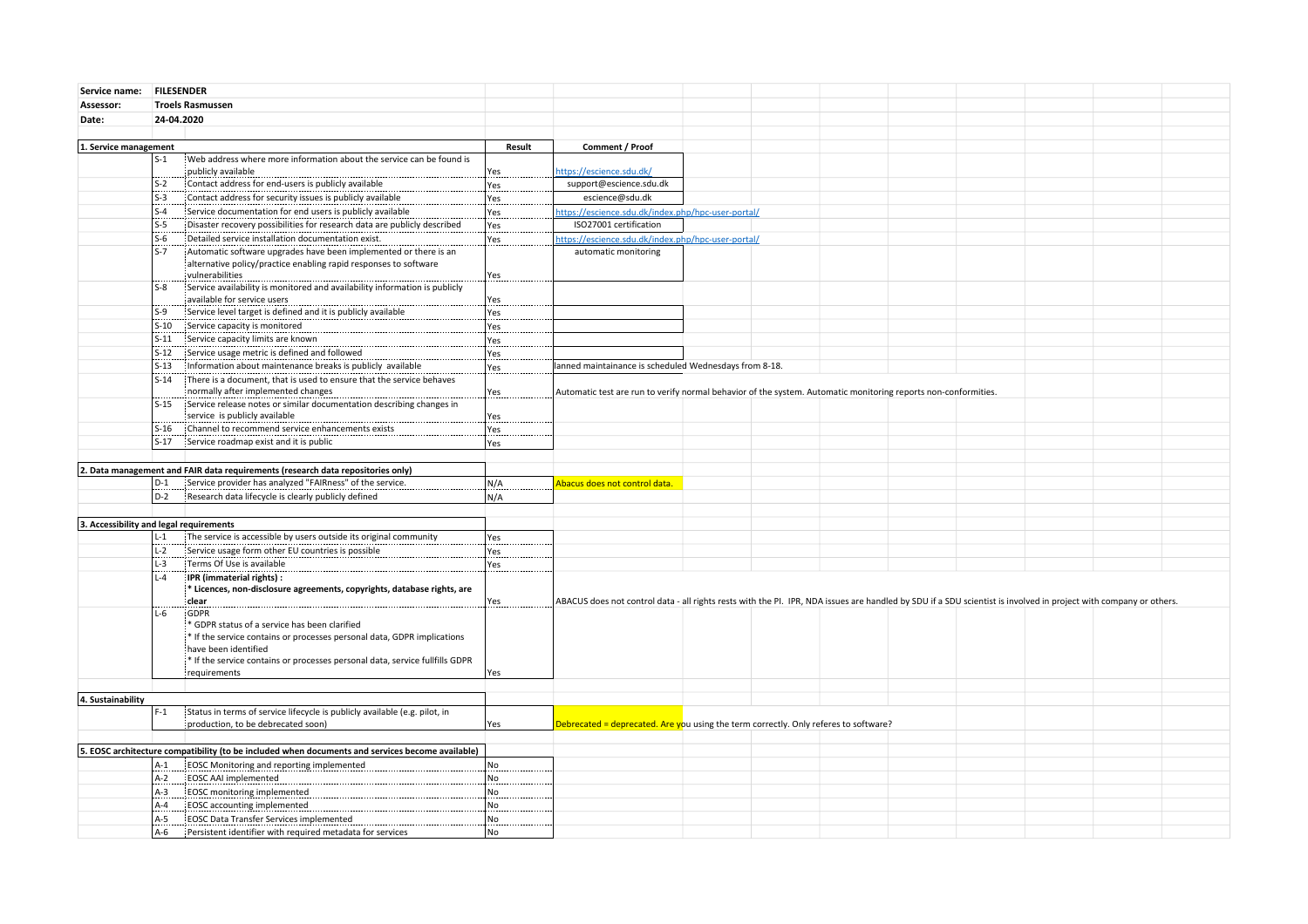| Service name: FILESENDER                                                                         |                                                                                                                                                                                                                                                  |        |                                                                                                                                                                   |  |  |  |  |  |
|--------------------------------------------------------------------------------------------------|--------------------------------------------------------------------------------------------------------------------------------------------------------------------------------------------------------------------------------------------------|--------|-------------------------------------------------------------------------------------------------------------------------------------------------------------------|--|--|--|--|--|
| Assessor:<br><b>Troels Rasmussen</b>                                                             |                                                                                                                                                                                                                                                  |        |                                                                                                                                                                   |  |  |  |  |  |
| Date:                                                                                            | 24-04.2020                                                                                                                                                                                                                                       |        |                                                                                                                                                                   |  |  |  |  |  |
|                                                                                                  |                                                                                                                                                                                                                                                  |        |                                                                                                                                                                   |  |  |  |  |  |
| 1. Service management                                                                            |                                                                                                                                                                                                                                                  | Result | Comment / Proof                                                                                                                                                   |  |  |  |  |  |
|                                                                                                  | $S-1$<br>Web address where more information about the service can be found is                                                                                                                                                                    |        |                                                                                                                                                                   |  |  |  |  |  |
|                                                                                                  | publicly available                                                                                                                                                                                                                               | Yes    | https://escience.sdu.dk/                                                                                                                                          |  |  |  |  |  |
|                                                                                                  | Contact address for end-users is publicly available<br>$S-2$                                                                                                                                                                                     | Yes    | support@escience.sdu.dk                                                                                                                                           |  |  |  |  |  |
|                                                                                                  | $S-3$<br>Contact address for security issues is publicly available                                                                                                                                                                               | Yes    | escience@sdu.dk                                                                                                                                                   |  |  |  |  |  |
|                                                                                                  | Service documentation for end users is publicly available<br>$S-4$                                                                                                                                                                               | Yes    | https://escience.sdu.dk/index.php/hpc-user-portal/                                                                                                                |  |  |  |  |  |
|                                                                                                  | $S-5$<br>Disaster recovery possibilities for research data are publicly described                                                                                                                                                                | Yes    | ISO27001 certification                                                                                                                                            |  |  |  |  |  |
|                                                                                                  | $S-6$<br>: Detailed service installation documentation exist.                                                                                                                                                                                    | Yes    | https://escience.sdu.dk/index.php/hpc-user-portal/                                                                                                                |  |  |  |  |  |
|                                                                                                  | $S-7$<br>Automatic software upgrades have been implemented or there is an<br>alternative policy/practice enabling rapid responses to software<br>vulnerabilities                                                                                 | Yes    | automatic monitoring                                                                                                                                              |  |  |  |  |  |
|                                                                                                  | Service availability is monitored and availability information is publicly<br>$S-8$<br>available for service users                                                                                                                               | Yes    |                                                                                                                                                                   |  |  |  |  |  |
|                                                                                                  | Service level target is defined and it is publicly available<br>$S-9$                                                                                                                                                                            | Yes    |                                                                                                                                                                   |  |  |  |  |  |
|                                                                                                  | $S-10$<br>Service capacity is monitored                                                                                                                                                                                                          | Yes    |                                                                                                                                                                   |  |  |  |  |  |
|                                                                                                  | Service capacity limits are known<br>$S-11$                                                                                                                                                                                                      | Yes    |                                                                                                                                                                   |  |  |  |  |  |
|                                                                                                  | Service usage metric is defined and followed<br>$S-12$                                                                                                                                                                                           | Yes    |                                                                                                                                                                   |  |  |  |  |  |
|                                                                                                  | Information about maintenance breaks is publicly available<br>$S-13$                                                                                                                                                                             | Yes    | lanned maintainance is scheduled Wednesdays from 8-18.                                                                                                            |  |  |  |  |  |
|                                                                                                  | $S-14$<br>There is a document, that is used to ensure that the service behaves                                                                                                                                                                   |        |                                                                                                                                                                   |  |  |  |  |  |
|                                                                                                  | normally after implemented changes                                                                                                                                                                                                               | Yes    | Automatic test are run to verify normal behavior of the system. Automatic monitoring reports non-conformities.                                                    |  |  |  |  |  |
|                                                                                                  | Service release notes or similar documentation describing changes in<br>S-15                                                                                                                                                                     |        |                                                                                                                                                                   |  |  |  |  |  |
|                                                                                                  | service is publicly available                                                                                                                                                                                                                    | Yes    |                                                                                                                                                                   |  |  |  |  |  |
|                                                                                                  | Channel to recommend service enhancements exists<br>$S-16$                                                                                                                                                                                       | Yes    |                                                                                                                                                                   |  |  |  |  |  |
|                                                                                                  | $S-17$<br>Service roadmap exist and it is public                                                                                                                                                                                                 | Yes    |                                                                                                                                                                   |  |  |  |  |  |
|                                                                                                  |                                                                                                                                                                                                                                                  |        |                                                                                                                                                                   |  |  |  |  |  |
|                                                                                                  | 2. Data management and FAIR data requirements (research data repositories only)                                                                                                                                                                  |        |                                                                                                                                                                   |  |  |  |  |  |
|                                                                                                  | Service provider has analyzed "FAIRness" of the service.<br>$D-1$                                                                                                                                                                                | N/A    | Abacus does not control data.                                                                                                                                     |  |  |  |  |  |
|                                                                                                  | Research data lifecycle is clearly publicly defined<br>$D-2$                                                                                                                                                                                     | N/A    |                                                                                                                                                                   |  |  |  |  |  |
|                                                                                                  |                                                                                                                                                                                                                                                  |        |                                                                                                                                                                   |  |  |  |  |  |
| 3. Accessibility and legal requirements                                                          |                                                                                                                                                                                                                                                  |        |                                                                                                                                                                   |  |  |  |  |  |
|                                                                                                  | $L-1$<br>The service is accessible by users outside its original community                                                                                                                                                                       | Yes    |                                                                                                                                                                   |  |  |  |  |  |
|                                                                                                  | $L-2$<br>Service usage form other EU countries is possible                                                                                                                                                                                       | Yes    |                                                                                                                                                                   |  |  |  |  |  |
|                                                                                                  | $L-3$<br>Terms Of Use is available                                                                                                                                                                                                               | Yes    |                                                                                                                                                                   |  |  |  |  |  |
|                                                                                                  | $L-4$<br>IPR (immaterial rights) :                                                                                                                                                                                                               |        |                                                                                                                                                                   |  |  |  |  |  |
|                                                                                                  | * Licences, non-disclosure agreements, copyrights, database rights, are                                                                                                                                                                          |        |                                                                                                                                                                   |  |  |  |  |  |
|                                                                                                  | clear<br>$L-6$<br>GDPR                                                                                                                                                                                                                           | Yes    | ABACUS does not control data - all rights rests with the PI. IPR, NDA issues are handled by SDU if a SDU scientist is involved in project with company or others. |  |  |  |  |  |
|                                                                                                  | * GDPR status of a service has been clarified<br>* If the service contains or processes personal data, GDPR implications<br>have been identified<br>* If the service contains or processes personal data, service fullfills GDPR<br>requirements | Yes    |                                                                                                                                                                   |  |  |  |  |  |
|                                                                                                  |                                                                                                                                                                                                                                                  |        |                                                                                                                                                                   |  |  |  |  |  |
| 4. Sustainability                                                                                |                                                                                                                                                                                                                                                  |        |                                                                                                                                                                   |  |  |  |  |  |
|                                                                                                  | Status in terms of service lifecycle is publicly available (e.g. pilot, in<br>$F-1$                                                                                                                                                              |        |                                                                                                                                                                   |  |  |  |  |  |
|                                                                                                  | production, to be debrecated soon)                                                                                                                                                                                                               | Yes    | Debrecated = deprecated. Are you using the term correctly. Only referes to software?                                                                              |  |  |  |  |  |
|                                                                                                  |                                                                                                                                                                                                                                                  |        |                                                                                                                                                                   |  |  |  |  |  |
| 5. EOSC architecture compatibility (to be included when documents and services become available) |                                                                                                                                                                                                                                                  |        |                                                                                                                                                                   |  |  |  |  |  |
|                                                                                                  | EOSC Monitoring and reporting implemented<br>A-1                                                                                                                                                                                                 | No     |                                                                                                                                                                   |  |  |  |  |  |
|                                                                                                  | $A-2$<br>EOSC AAI implemented                                                                                                                                                                                                                    | No     |                                                                                                                                                                   |  |  |  |  |  |
|                                                                                                  | $A-3$<br><b>EOSC</b> monitoring implemented                                                                                                                                                                                                      | No     |                                                                                                                                                                   |  |  |  |  |  |
|                                                                                                  | $A - 4$<br>EOSC accounting implemented                                                                                                                                                                                                           | No     |                                                                                                                                                                   |  |  |  |  |  |
|                                                                                                  | EOSC Data Transfer Services implemented<br>A-5                                                                                                                                                                                                   | No     |                                                                                                                                                                   |  |  |  |  |  |
|                                                                                                  | Persistent identifier with required metadata for services<br>A-6                                                                                                                                                                                 | No     |                                                                                                                                                                   |  |  |  |  |  |